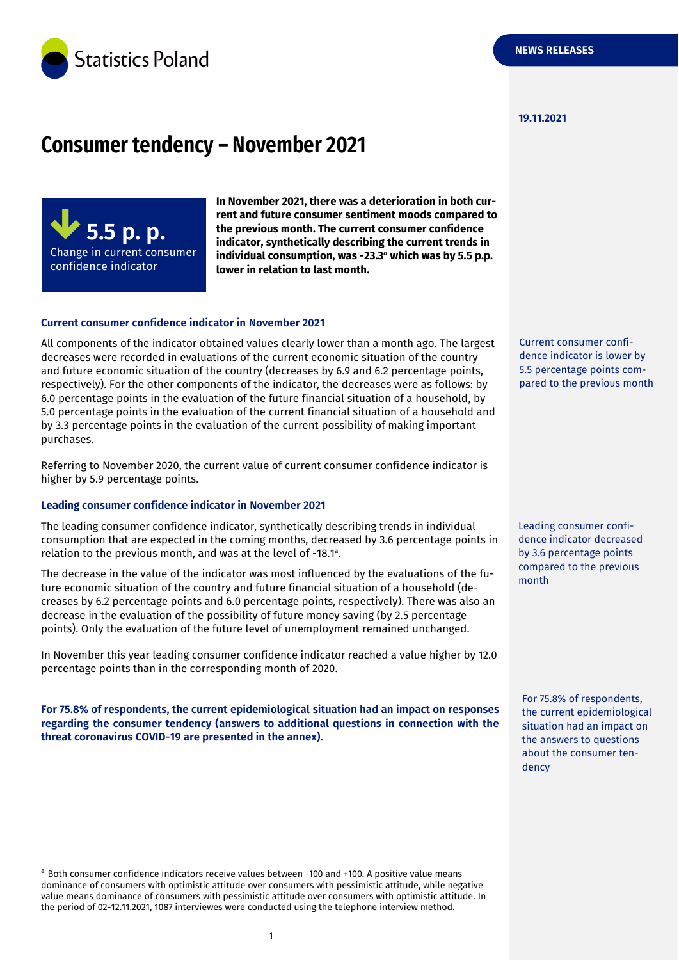

#### **19.11.2021**

# **Consumer tendency – November 2021**

**5.5 p. p.** Change in current consumer confidence indicator

-

**In November 2021, there was a deterioration in both current and future consumer sentiment moods compared to the previous month. The current consumer confidence indicator, synthetically describing the current trends in individual consumption, was -23.3** *<sup>a</sup>* **which was by 5.5 p.p. lower in relation to last month.**

#### **Current consumer confidence indicator in November 2021**

All components of the indicator obtained values clearly lower than a month ago. The largest decreases were recorded in evaluations of the current economic situation of the country and future economic situation of the country (decreases by 6.9 and 6.2 percentage points, respectively). For the other components of the indicator, the decreases were as follows: by 6.0 percentage points in the evaluation of the future financial situation of a household, by 5.0 percentage points in the evaluation of the current financial situation of a household and by 3.3 percentage points in the evaluation of the current possibility of making important purchases.

Referring to November 2020, the current value of current consumer confidence indicator is higher by 5.9 percentage points.

#### **Leading consumer confidence indicator in November 2021**

The leading consumer confidence indicator, synthetically describing trends in individual consumption that are expected in the coming months, decreased by 3.6 percentage points in relation to the previous month, and was at the level of -18.1<sup>a</sup>.

The decrease in the value of the indicator was most influenced by the evaluations of the future economic situation of the country and future financial situation of a household (decreases by 6.2 percentage points and 6.0 percentage points, respectively). There was also an decrease in the evaluation of the possibility of future money saving (by 2.5 percentage points). Only the evaluation of the future level of unemployment remained unchanged.

In November this year leading consumer confidence indicator reached a value higher by 12.0 percentage points than in the corresponding month of 2020.

**For 75.8% of respondents, the current epidemiological situation had an impact on responses regarding the consumer tendency (answers to additional questions in connection with the threat coronavirus COVID-19 are presented in the annex).** 

Current consumer confidence indicator is lower by 5.5 percentage points compared to the previous month

Leading consumer confidence indicator decreased by 3.6 percentage points compared to the previous month

For 75.8% of respondents, the current epidemiological situation had an impact on the answers to questions about the consumer tendency

<sup>a</sup> Both consumer confidence indicators receive values between -100 and +100. A positive value means dominance of consumers with optimistic attitude over consumers with pessimistic attitude, while negative value means dominance of consumers with pessimistic attitude over consumers with optimistic attitude. In the period of 02-12.11.2021, 1087 interviewes were conducted using the telephone interview method.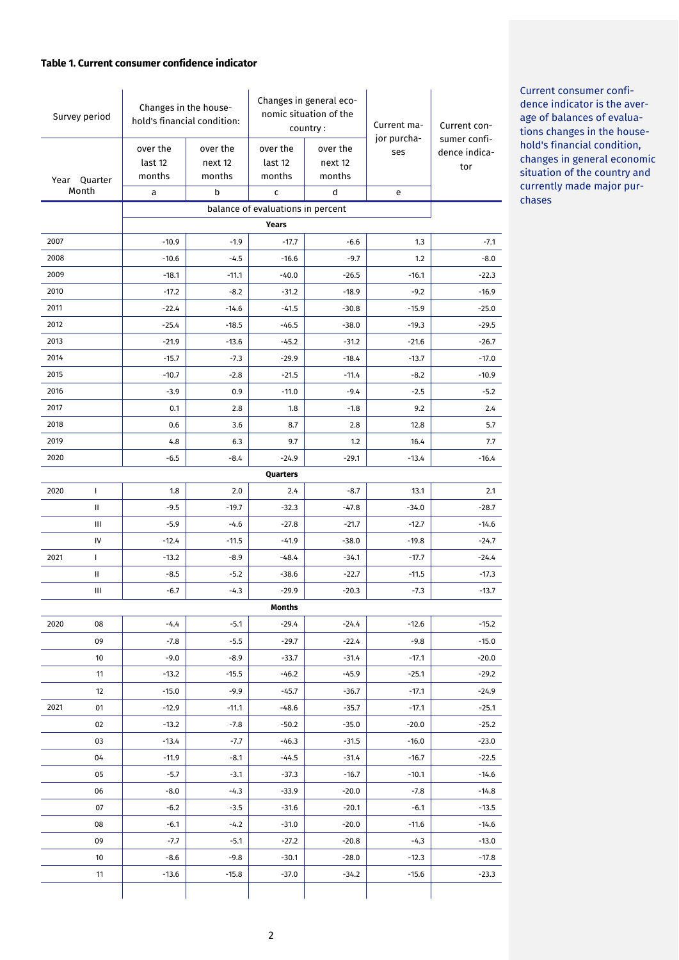#### **Table 1. Current consumer confidence indicator**

| Survey period                                                         |                                   | Changes in the house-<br>hold's financial condition: |          | Changes in general eco-<br>nomic situation of the<br>country: |          | Current ma-        | Current con-                  |  |
|-----------------------------------------------------------------------|-----------------------------------|------------------------------------------------------|----------|---------------------------------------------------------------|----------|--------------------|-------------------------------|--|
|                                                                       |                                   | over the                                             | over the | over the                                                      | over the | jor purcha-<br>ses | sumer confi-<br>dence indica- |  |
|                                                                       |                                   | last 12                                              | next 12  | last 12                                                       | next 12  |                    | tor                           |  |
|                                                                       | Year Quarter                      | months                                               | months   | months                                                        | months   |                    |                               |  |
|                                                                       | Month                             | a                                                    | b        | C                                                             | d        | e                  |                               |  |
|                                                                       | balance of evaluations in percent |                                                      |          |                                                               |          |                    |                               |  |
| <b>Years</b><br>2007<br>$-17.7$<br>$-10.9$<br>$-1.9$<br>$-6.6$<br>1.3 |                                   |                                                      |          |                                                               |          |                    |                               |  |
| 2008                                                                  |                                   | $-10.6$                                              | $-4.5$   | $-16.6$                                                       | $-9.7$   | 1.2                | $-7.1$<br>$-8.0$              |  |
| 2009                                                                  |                                   | $-18.1$                                              | $-11.1$  | $-40.0$                                                       | $-26.5$  | $-16.1$            | $-22.3$                       |  |
| 2010                                                                  |                                   | $-17.2$                                              | $-8.2$   | $-31.2$                                                       | $-18.9$  | $-9.2$             | $-16.9$                       |  |
| 2011                                                                  |                                   | $-22.4$                                              | $-14.6$  | $-41.5$                                                       | $-30.8$  | $-15.9$            | $-25.0$                       |  |
| 2012                                                                  |                                   | $-25.4$                                              | $-18.5$  | $-46.5$                                                       | $-38.0$  | $-19.3$            | $-29.5$                       |  |
| 2013                                                                  |                                   | $-21.9$                                              | $-13.6$  | $-45.2$                                                       | $-31.2$  | $-21.6$            | $-26.7$                       |  |
| 2014                                                                  |                                   | $-15.7$                                              | $-7.3$   | $-29.9$                                                       | $-18.4$  | $-13.7$            | $-17.0$                       |  |
| 2015                                                                  |                                   | $-10.7$                                              | $-2.8$   | $-21.5$                                                       | $-11.4$  | $-8.2$             | $-10.9$                       |  |
| 2016                                                                  |                                   | $-3.9$                                               | 0.9      | $-11.0$                                                       | $-9.4$   | $-2.5$             | $-5.2$                        |  |
| 2017                                                                  |                                   | 0.1                                                  | 2.8      | 1.8                                                           | $-1.8$   | 9.2                | 2.4                           |  |
| 2018                                                                  |                                   | 0.6                                                  | 3.6      | 8.7                                                           | 2.8      | 12.8               | 5.7                           |  |
| 2019                                                                  |                                   | 4.8                                                  | 6.3      | 9.7                                                           | 1.2      | 16.4               | 7.7                           |  |
| 2020                                                                  |                                   | $-6.5$                                               | $-8.4$   | $-24.9$                                                       | $-29.1$  | $-13.4$            | $-16.4$                       |  |
|                                                                       |                                   |                                                      |          | Quarters                                                      |          |                    |                               |  |
| 2020                                                                  | $\mathbf{I}$                      | 1.8                                                  | 2.0      | 2.4                                                           | $-8.7$   | 13.1               | 2.1                           |  |
|                                                                       | Ш                                 | $-9.5$                                               | $-19.7$  | $-32.3$                                                       | $-47.8$  | $-34.0$            | $-28.7$                       |  |
|                                                                       | Ш                                 | $-5.9$                                               | $-4.6$   | $-27.8$                                                       | $-21.7$  | $-12.7$            | $-14.6$                       |  |
|                                                                       | IV                                | $-12.4$                                              | $-11.5$  | $-41.9$                                                       | $-38.0$  | $-19.8$            | $-24.7$                       |  |
| 2021                                                                  | $\mathbf{I}$                      | $-13.2$                                              | $-8.9$   | $-48.4$                                                       | $-34.1$  | $-17.7$            | $-24.4$                       |  |
|                                                                       | Ш                                 | $-8.5$                                               | $-5.2$   | $-38.6$                                                       | $-22.7$  | $-11.5$            | $-17.3$                       |  |
|                                                                       | Ш                                 | $-6.7$                                               | $-4.3$   | $-29.9$                                                       | $-20.3$  | $-7.3$             | $-13.7$                       |  |
|                                                                       |                                   |                                                      |          | Months                                                        |          |                    |                               |  |
| 2020                                                                  | 08                                | $-4.4$                                               | $-5.1$   | $-29.4$                                                       | $-24.4$  | $-12.6$            | $-15.2$                       |  |
|                                                                       | 09                                | $-7.8$                                               | $-5.5$   | $-29.7$                                                       | $-22.4$  | $-9.8$             | $-15.0$                       |  |
|                                                                       | 10                                | $-9.0$                                               | $-8.9$   | $-33.7$                                                       | $-31.4$  | $-17.1$            | $-20.0$                       |  |
|                                                                       | 11                                | $-13.2$                                              | $-15.5$  | $-46.2$                                                       | $-45.9$  | $-25.1$            | $-29.2$                       |  |
|                                                                       | 12                                | $-15.0$                                              | $-9.9$   | $-45.7$                                                       | -36.7    | $-17.1$            | $-24.9$                       |  |
| 2021                                                                  | 01                                | $-12.9$                                              | $-11.1$  | $-48.6$                                                       | $-35.7$  | $-17.1$            | $-25.1$                       |  |
|                                                                       | 02                                | $-13.2$                                              | $-7.8$   | $-50.2$                                                       | $-35.0$  | $-20.0$            | $-25.2$                       |  |
|                                                                       | 03                                | $-13.4$                                              | $-7.7$   | $-46.3$                                                       | $-31.5$  | $-16.0$            | $-23.0$                       |  |
|                                                                       | 04                                | $-11.9$                                              | $-8.1$   | $-44.5$                                                       | $-31.4$  | $-16.7$            | $-22.5$                       |  |
|                                                                       | 05                                | $-5.7$                                               | $-3.1$   | $-37.3$                                                       | $-16.7$  | $-10.1$            | $-14.6$                       |  |
|                                                                       | 06                                | $-8.0$                                               | $-4.3$   | $-33.9$                                                       | $-20.0$  | $-7.8$             | $-14.8$                       |  |
|                                                                       | 07                                | $-6.2$                                               | $-3.5$   | $-31.6$                                                       | $-20.1$  | $-6.1$             | $-13.5$                       |  |
|                                                                       | 08                                | $-6.1$                                               | $-4.2$   | $-31.0$                                                       | $-20.0$  | $-11.6$            | $-14.6$                       |  |
|                                                                       | 09                                | $-7.7$                                               | $-5.1$   | $-27.2$                                                       | $-20.8$  | $-4.3$             | $-13.0$                       |  |
|                                                                       | 10                                | $-8.6$                                               | $-9.8$   | $-30.1$                                                       | $-28.0$  | $-12.3$            | $-17.8$                       |  |
|                                                                       | 11                                | $-13.6$                                              | $-15.8$  | $-37.0$                                                       | $-34.2$  | $-15.6$            | $-23.3$                       |  |
|                                                                       |                                   |                                                      |          |                                                               |          |                    |                               |  |

Current consumer confidence indicator is the average of balances of evaluations changes in the household's financial condition, changes in general economic situation of the country and currently made major purchases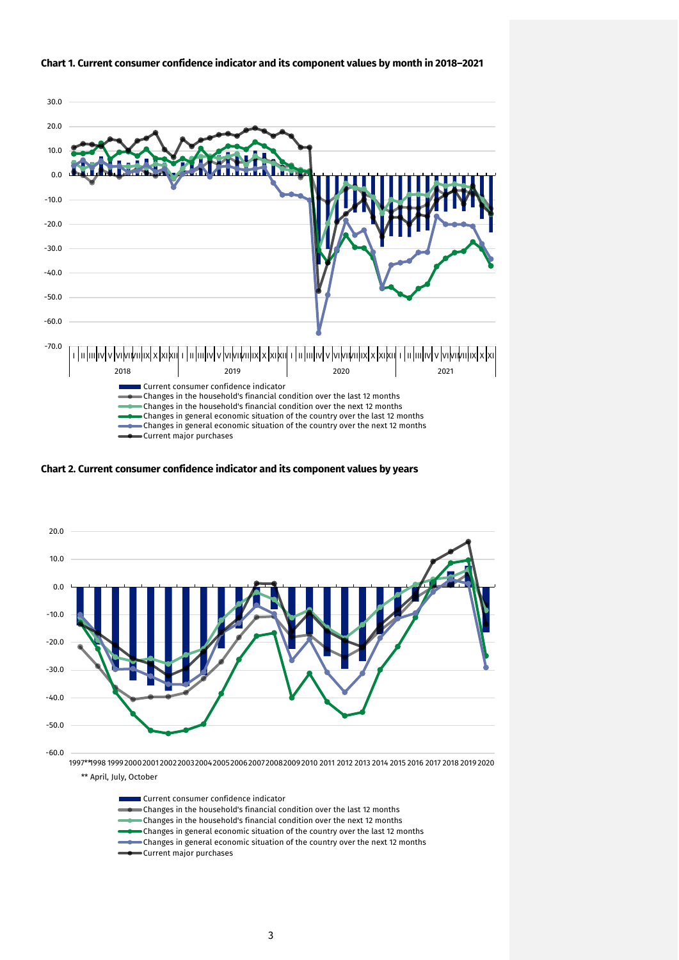

#### **Chart 1. Current consumer confidence indicator and its component values by month in 2018–2021**

**Chart 2. Current consumer confidence indicator and its component values by years**



\*\* April, July, October

| Current consumer confidence indicator ( )                                           |
|-------------------------------------------------------------------------------------|
| Changes in the household's financial condition over the last 12 months              |
| Changes in the household's financial condition over the next 12 months              |
| Changes in general economic situation of the country over the last 12 months        |
| <b>Changes in general economic situation of the country over the next 12 months</b> |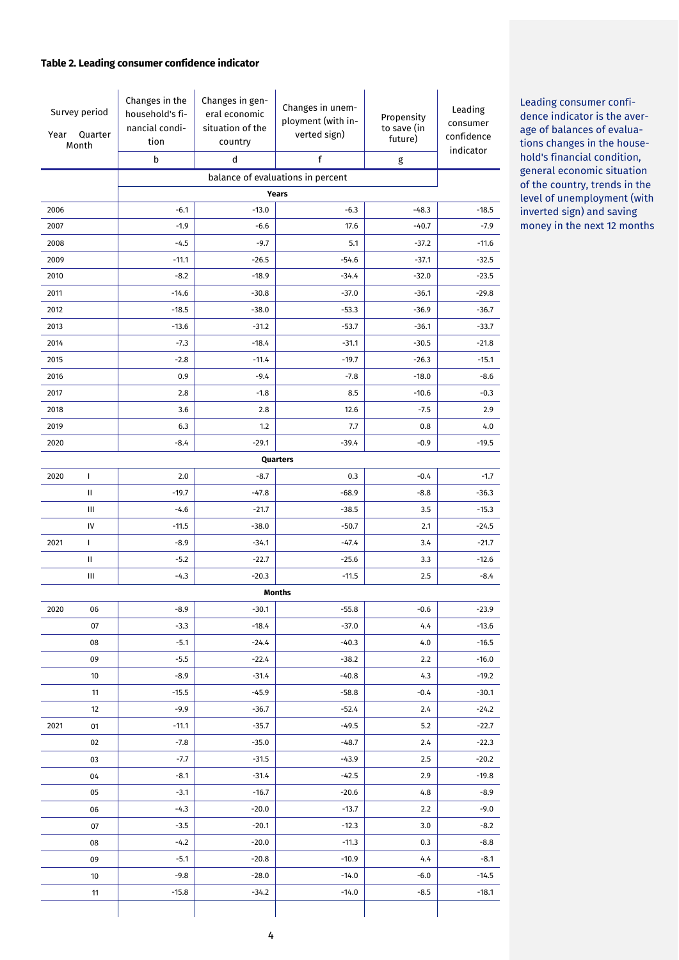# **Table 2. Leading consumer confidence indicator**

| Survey period<br>Quarter<br>Year<br>Month |    | Changes in the<br>household's fi-<br>nancial condi-<br>tion<br>b | Changes in gen-<br>eral economic<br>situation of the<br>country<br>d | Changes in unem-<br>ployment (with in-<br>verted sign)<br>f | Propensity<br>to save (in<br>future)<br>g | Leading<br>consumer<br>confidence<br>indicator |  |
|-------------------------------------------|----|------------------------------------------------------------------|----------------------------------------------------------------------|-------------------------------------------------------------|-------------------------------------------|------------------------------------------------|--|
| balance of evaluations in percent         |    |                                                                  |                                                                      |                                                             |                                           |                                                |  |
| Years                                     |    |                                                                  |                                                                      |                                                             |                                           |                                                |  |
| 2006                                      |    | $-6.1$                                                           | $-13.0$                                                              | $-6.3$                                                      | $-48.3$                                   | $-18.5$                                        |  |
| 2007                                      |    | $-1.9$                                                           | $-6.6$                                                               | 17.6                                                        | $-40.7$                                   | $-7.9$                                         |  |
| 2008                                      |    | $-4.5$                                                           | $-9.7$                                                               | 5.1                                                         | $-37.2$                                   | $-11.6$                                        |  |
| 2009                                      |    | $-11.1$                                                          | $-26.5$                                                              | $-54.6$                                                     | $-37.1$                                   | $-32.5$                                        |  |
| 2010                                      |    | $-8.2$                                                           | $-18.9$                                                              | $-34.4$                                                     | $-32.0$                                   | $-23.5$                                        |  |
| 2011                                      |    | $-14.6$                                                          | $-30.8$                                                              | $-37.0$                                                     | $-36.1$                                   | $-29.8$                                        |  |
| 2012                                      |    | $-18.5$                                                          | $-38.0$                                                              | $-53.3$                                                     | $-36.9$                                   | $-36.7$                                        |  |
| 2013                                      |    | $-13.6$                                                          | $-31.2$                                                              | $-53.7$                                                     | $-36.1$                                   | $-33.7$                                        |  |
| 2014                                      |    | $-7.3$                                                           | $-18.4$                                                              | $-31.1$                                                     | $-30.5$                                   | $-21.8$                                        |  |
| 2015                                      |    | $-2.8$                                                           | $-11.4$                                                              | $-19.7$                                                     | $-26.3$                                   | $-15.1$                                        |  |
| 2016                                      |    | 0.9                                                              | $-9.4$                                                               | $-7.8$                                                      | $-18.0$                                   | $-8.6$                                         |  |
| 2017                                      |    | 2.8                                                              | $-1.8$                                                               | 8.5                                                         | $-10.6$                                   | $-0.3$                                         |  |
| 2018                                      |    | 3.6                                                              | 2.8                                                                  | 12.6                                                        | $-7.5$                                    | 2.9                                            |  |
| 2019                                      |    | 6.3                                                              | 1.2                                                                  | 7.7                                                         | 0.8                                       | 4.0                                            |  |
| 2020                                      |    | $-8.4$                                                           | $-29.1$                                                              | $-39.4$                                                     | $-0.9$                                    | $-19.5$                                        |  |
|                                           |    |                                                                  |                                                                      | Quarters                                                    |                                           |                                                |  |
| 2020                                      | L  | 2.0                                                              | $-8.7$                                                               | 0.3                                                         | $-0.4$                                    | $-1.7$                                         |  |
|                                           | Ш  | $-19.7$                                                          | $-47.8$                                                              | $-68.9$                                                     | $-8.8$                                    | $-36.3$                                        |  |
|                                           | Ш  | $-4.6$                                                           | $-21.7$                                                              | $-38.5$                                                     | 3.5                                       | $-15.3$                                        |  |
|                                           | IV | $-11.5$                                                          | $-38.0$                                                              | $-50.7$                                                     | 2.1                                       | $-24.5$                                        |  |
| 2021                                      | L  | $-8.9$                                                           | $-34.1$                                                              | $-47.4$                                                     | 3.4                                       | $-21.7$                                        |  |
|                                           | Ш  | $-5.2$                                                           | $-22.7$                                                              | $-25.6$                                                     | 3.3                                       | $-12.6$                                        |  |
|                                           | Ш  | $-4.3$                                                           | $-20.3$                                                              | $-11.5$                                                     | 2.5                                       | $-8.4$                                         |  |
|                                           |    |                                                                  |                                                                      | Months                                                      |                                           |                                                |  |
| 2020                                      | 06 | $-8.9$                                                           | $-30.1$                                                              | $-55.8$                                                     | $-0.6$                                    | $-23.9$                                        |  |
|                                           | 07 | $-3.3$                                                           | $-18.4$                                                              | $-37.0$                                                     | 4.4                                       | $-13.6$                                        |  |
|                                           | 08 | $-5.1$                                                           | $-24.4$                                                              | $-40.3$                                                     | 4.0                                       | $-16.5$                                        |  |
|                                           | 09 | $-5.5$                                                           | $-22.4$                                                              | $-38.2$                                                     | 2.2                                       | $-16.0$                                        |  |
|                                           | 10 | $-8.9$                                                           | $-31.4$                                                              | $-40.8$                                                     | 4.3                                       | $-19.2$                                        |  |
|                                           | 11 | $-15.5$                                                          | $-45.9$                                                              | $-58.8$                                                     | $-0.4$                                    | $-30.1$                                        |  |
|                                           | 12 | $-9.9$                                                           | $-36.7$                                                              | $-52.4$                                                     | 2.4                                       | $-24.2$                                        |  |
| 2021                                      | 01 | $-11.1$                                                          | $-35.7$                                                              | $-49.5$                                                     | 5.2                                       | $-22.7$                                        |  |
|                                           | 02 | $-7.8$                                                           | $-35.0$                                                              | $-48.7$                                                     | 2.4                                       | $-22.3$                                        |  |
|                                           | 03 | $-7.7$                                                           | $-31.5$                                                              | $-43.9$                                                     | 2.5                                       | $-20.2$                                        |  |
|                                           | 04 | $-8.1$                                                           | $-31.4$                                                              | $-42.5$                                                     | 2.9                                       | $-19.8$                                        |  |
|                                           | 05 | $-3.1$                                                           | $-16.7$                                                              | $-20.6$                                                     | 4.8                                       | $-8.9$                                         |  |
|                                           | 06 | $-4.3$                                                           | $-20.0$                                                              | $-13.7$                                                     | 2.2                                       | $-9.0$                                         |  |
|                                           | 07 | $-3.5$                                                           | $-20.1$                                                              | $-12.3$                                                     | 3.0                                       | $-8.2$                                         |  |
|                                           | 08 | $-4.2$                                                           | $-20.0$                                                              | $-11.3$                                                     | 0.3                                       | $-8.8$                                         |  |
|                                           | 09 | $-5.1$                                                           | $-20.8$                                                              | $-10.9$                                                     | 4.4                                       | $-8.1$                                         |  |
|                                           | 10 | $-9.8$                                                           | $-28.0$                                                              | $-14.0$                                                     | $-6.0$                                    | $-14.5$                                        |  |
|                                           | 11 | $-15.8$                                                          | $-34.2$                                                              | $-14.0$                                                     | $-8.5$                                    | $-18.1$                                        |  |

Leading consumer confidence indicator is the average of balances of evaluations changes in the household's financial condition, general economic situation of the country, trends in the level of unemployment (with inverted sign) and saving money in the next 12 months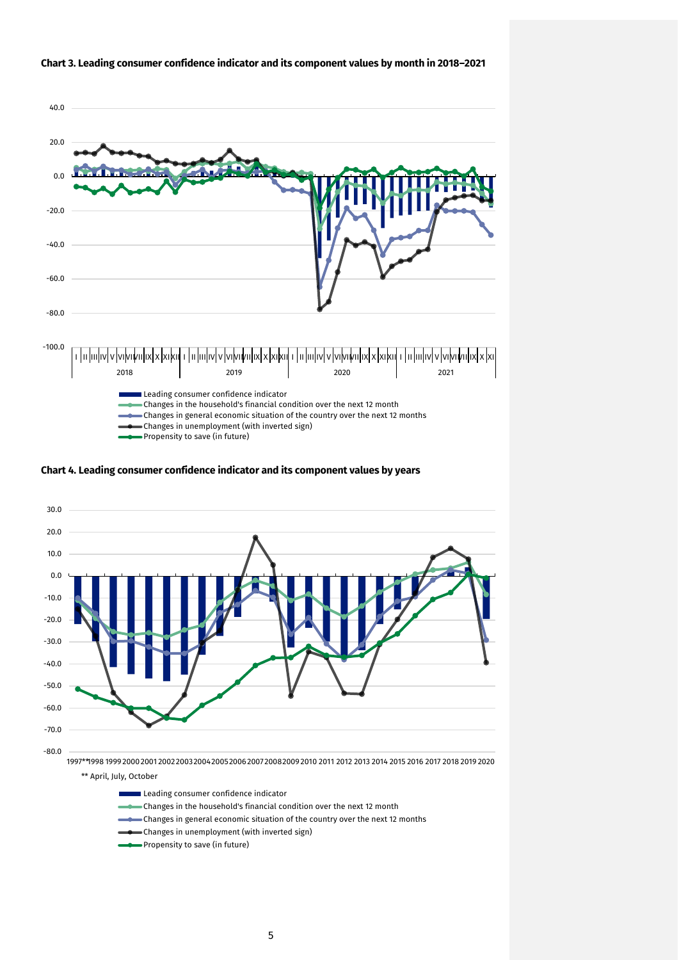

#### **Chart 3. Leading consumer confidence indicator and its component values by month in 2018–2021**





Leading consumer confidence indicator

- Changes in the household's financial condition over the next 12 month
- Changes in general economic situation of the country over the next 12 months
- Changes in unemployment (with inverted sign)
- Propensity to save (in future)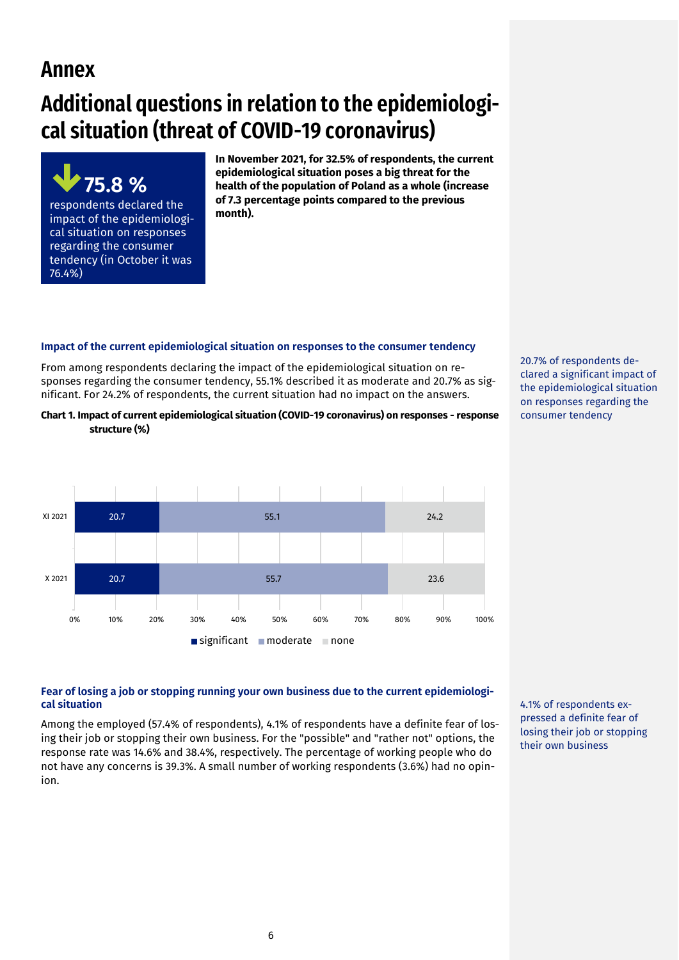# **Annex**

# **Additional questions in relation to the epidemiological situation (threat of COVID-19 coronavirus)**

**75.8 %**  respondents declared the impact of the epidemiological situation on responses regarding the consumer tendency (in October it was 76.4%)

**In November 2021, for 32.5% of respondents, the current epidemiological situation poses a big threat for the health of the population of Poland as a whole (increase of 7.3 percentage points compared to the previous month).** 

# **Impact of the current epidemiological situation on responses to the consumer tendency**

From among respondents declaring the impact of the epidemiological situation on responses regarding the consumer tendency, 55.1% described it as moderate and 20.7% as significant. For 24.2% of respondents, the current situation had no impact on the answers.

**Chart 1. Impact of current epidemiological situation (COVID-19 coronavirus) on responses - response structure (%)**



20.7% of respondents declared a significant impact of the epidemiological situation on responses regarding the consumer tendency

# **Fear of losing a job or stopping running your own business due to the current epidemiological situation**

Among the employed (57.4% of respondents), 4.1% of respondents have a definite fear of losing their job or stopping their own business. For the "possible" and "rather not" options, the response rate was 14.6% and 38.4%, respectively. The percentage of working people who do not have any concerns is 39.3%. A small number of working respondents (3.6%) had no opinion.

4.1% of respondents expressed a definite fear of losing their job or stopping their own business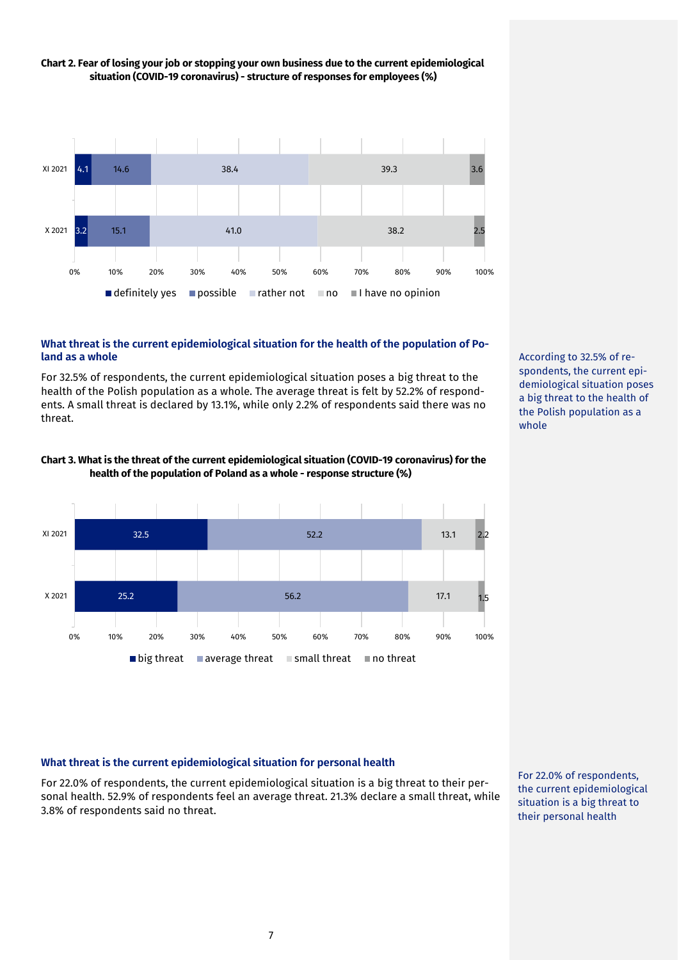

# **Chart 2. Fear of losing your job or stopping your own business due to the current epidemiological situation (COVID-19 coronavirus) - structure of responses for employees (%)**

# **What threat is the current epidemiological situation for the health of the population of Poland as a whole**

For 32.5% of respondents, the current epidemiological situation poses a big threat to the health of the Polish population as a whole. The average threat is felt by 52.2% of respondents. A small threat is declared by 13.1%, while only 2.2% of respondents said there was no threat.





According to 32.5% of respondents, the current epidemiological situation poses a big threat to the health of the Polish population as a whole

# **What threat is the current epidemiological situation for personal health**

For 22.0% of respondents, the current epidemiological situation is a big threat to their personal health. 52.9% of respondents feel an average threat. 21.3% declare a small threat, while 3.8% of respondents said no threat.

For 22.0% of respondents, the current epidemiological situation is a big threat to their personal health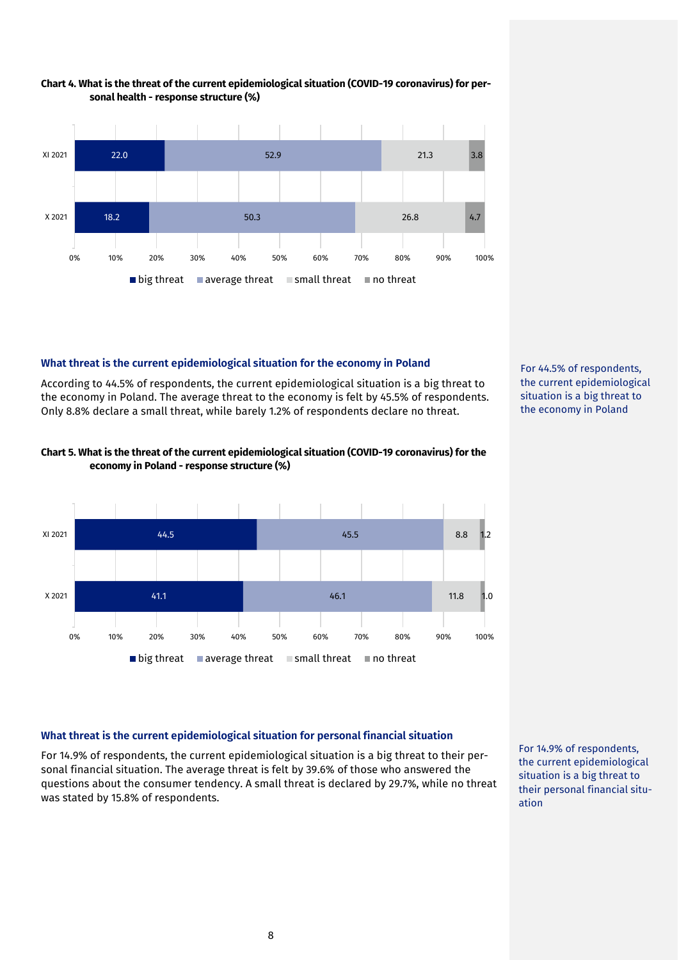

#### **Chart 4. What is the threat of the current epidemiological situation (COVID-19 coronavirus) for personal health - response structure (%)**

# **What threat is the current epidemiological situation for the economy in Poland**

According to 44.5% of respondents, the current epidemiological situation is a big threat to the economy in Poland. The average threat to the economy is felt by 45.5% of respondents. Only 8.8% declare a small threat, while barely 1.2% of respondents declare no threat.



# **Chart 5. What is the threat of the current epidemiological situation (COVID-19 coronavirus) for the economy in Poland - response structure (%)**



#### **What threat is the current epidemiological situation for personal financial situation**

For 14.9% of respondents, the current epidemiological situation is a big threat to their personal financial situation. The average threat is felt by 39.6% of those who answered the questions about the consumer tendency. A small threat is declared by 29.7%, while no threat was stated by 15.8% of respondents.

For 14.9% of respondents, the current epidemiological situation is a big threat to their personal financial situation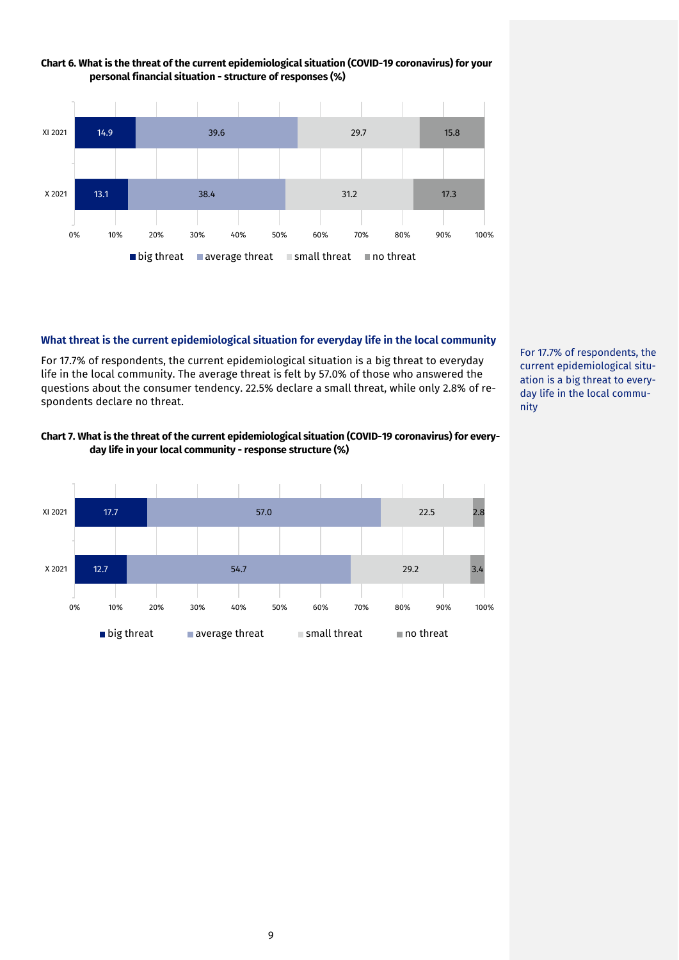

# **Chart 6. What is the threat of the current epidemiological situation (COVID-19 coronavirus) for your personal financial situation - structure of responses (%)**

#### **What threat is the current epidemiological situation for everyday life in the local community**

For 17.7% of respondents, the current epidemiological situation is a big threat to everyday life in the local community. The average threat is felt by 57.0% of those who answered the questions about the consumer tendency. 22.5% declare a small threat, while only 2.8% of respondents declare no threat.

# **Chart 7. What is the threat of the current epidemiological situation (COVID-19 coronavirus) for everyday life in your local community - response structure (%)**



For 17.7% of respondents, the current epidemiological situation is a big threat to everyday life in the local community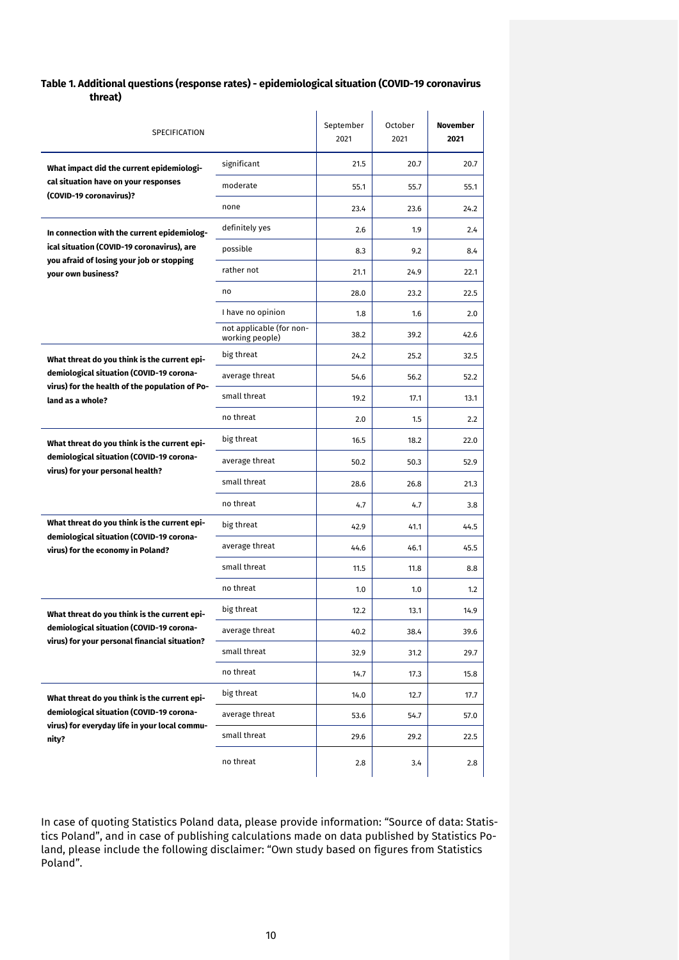# **Table 1. Additional questions (response rates) - epidemiological situation (COVID-19 coronavirus threat)**

| SPECIFICATION                                                                             |                                             | September<br>2021 | October<br>2021 | November<br>2021 |
|-------------------------------------------------------------------------------------------|---------------------------------------------|-------------------|-----------------|------------------|
| What impact did the current epidemiologi-                                                 | significant                                 | 21.5              | 20.7            | 20.7             |
| cal situation have on your responses<br>(COVID-19 coronavirus)?                           | moderate                                    | 55.1              | 55.7            | 55.1             |
|                                                                                           | none                                        | 23.4              | 23.6            | 24.2             |
| In connection with the current epidemiolog-                                               | definitely yes                              | 2.6               | 1.9             | 2.4              |
| ical situation (COVID-19 coronavirus), are<br>you afraid of losing your job or stopping   | possible                                    | 8.3               | 9.2             | 8.4              |
| vour own business?                                                                        | rather not                                  | 21.1              | 24.9            | 22.1             |
|                                                                                           | no                                          | 28.0              | 23.2            | 22.5             |
|                                                                                           | I have no opinion                           | 1.8               | 1.6             | 2.0              |
|                                                                                           | not applicable (for non-<br>working people) | 38.2              | 39.2            | 42.6             |
| What threat do you think is the current epi-                                              | big threat                                  | 24.2              | 25.2            | 32.5             |
| demiological situation (COVID-19 corona-                                                  | average threat                              | 54.6              | 56.2            | 52.2             |
| virus) for the health of the population of Po-<br>land as a whole?                        | small threat                                | 19.2              | 17.1            | 13.1             |
|                                                                                           | no threat                                   | 2.0               | 1.5             | 2.2              |
| What threat do you think is the current epi-                                              | big threat                                  | 16.5              | 18.2            | 22.0             |
| demiological situation (COVID-19 corona-<br>virus) for your personal health?              | average threat                              | 50.2              | 50.3            | 52.9             |
|                                                                                           | small threat                                | 28.6              | 26.8            | 21.3             |
|                                                                                           | no threat                                   | 4.7               | 4.7             | 3.8              |
| What threat do you think is the current epi-                                              | big threat                                  | 42.9              | 41.1            | 44.5             |
| demiological situation (COVID-19 corona-<br>virus) for the economy in Poland?             | average threat                              | 44.6              | 46.1            | 45.5             |
|                                                                                           | small threat                                | 11.5              | 11.8            | 8.8              |
|                                                                                           | no threat                                   | 1.0               | 1.0             | 1.2              |
| What threat do you think is the current epi-                                              | big threat                                  | 12.2              | 13.1            | 14.9             |
| demiological situation (COVID-19 corona-                                                  | average threat                              | 40.2              | 38.4            | 39.6             |
| virus) for your personal financial situation?                                             | small threat                                | 32.9              | 31.2            | 29.7             |
|                                                                                           | no threat                                   | 14.7              | 17.3            | 15.8             |
| What threat do you think is the current epi-                                              | big threat                                  | 14.0              | 12.7            | 17.7             |
| demiological situation (COVID-19 corona-<br>virus) for everyday life in your local commu- | average threat                              | 53.6              | 54.7            | 57.0             |
| nity?                                                                                     | small threat                                | 29.6              | 29.2            | 22.5             |
|                                                                                           | no threat                                   | 2.8               | 3.4             | 2.8              |

In case of quoting Statistics Poland data, please provide information: "Source of data: Statistics Poland", and in case of publishing calculations made on data published by Statistics Poland, please include the following disclaimer: "Own study based on figures from Statistics Poland".